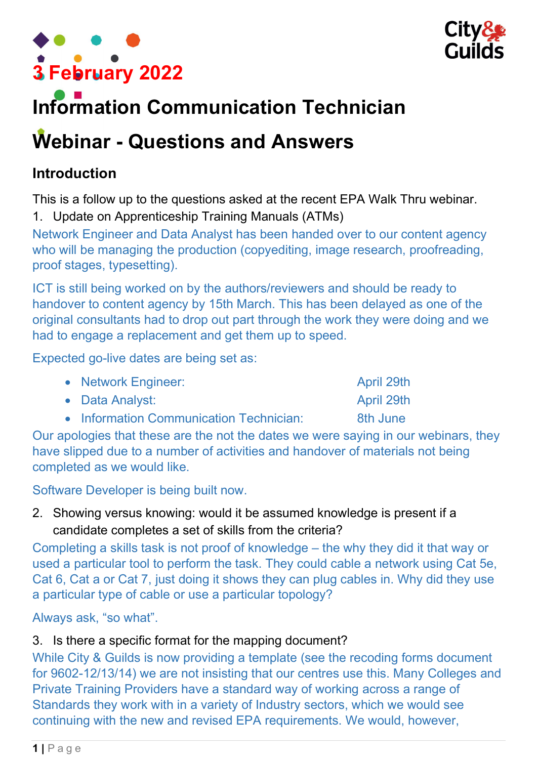



# Information Communication Technician

# Webinar - Questions and Answers

## Introduction

This is a follow up to the questions asked at the recent EPA Walk Thru webinar.

1. Update on Apprenticeship Training Manuals (ATMs)

Network Engineer and Data Analyst has been handed over to our content agency who will be managing the production (copyediting, image research, proofreading, proof stages, typesetting).

ICT is still being worked on by the authors/reviewers and should be ready to handover to content agency by 15th March. This has been delayed as one of the original consultants had to drop out part through the work they were doing and we had to engage a replacement and get them up to speed.

Expected go-live dates are being set as:

|  | • Network Engineer: |
|--|---------------------|
|--|---------------------|

- Data Analyst: April 29th
- Information Communication Technician: 8th June

Our apologies that these are the not the dates we were saying in our webinars, they have slipped due to a number of activities and handover of materials not being completed as we would like.

Software Developer is being built now.

2. Showing versus knowing: would it be assumed knowledge is present if a candidate completes a set of skills from the criteria?

Completing a skills task is not proof of knowledge – the why they did it that way or used a particular tool to perform the task. They could cable a network using Cat 5e, Cat 6, Cat a or Cat 7, just doing it shows they can plug cables in. Why did they use a particular type of cable or use a particular topology?

Always ask, "so what".

#### 3. Is there a specific format for the mapping document?

While City & Guilds is now providing a template (see the recoding forms document for 9602-12/13/14) we are not insisting that our centres use this. Many Colleges and Private Training Providers have a standard way of working across a range of Standards they work with in a variety of Industry sectors, which we would see continuing with the new and revised EPA requirements. We would, however,

April 29th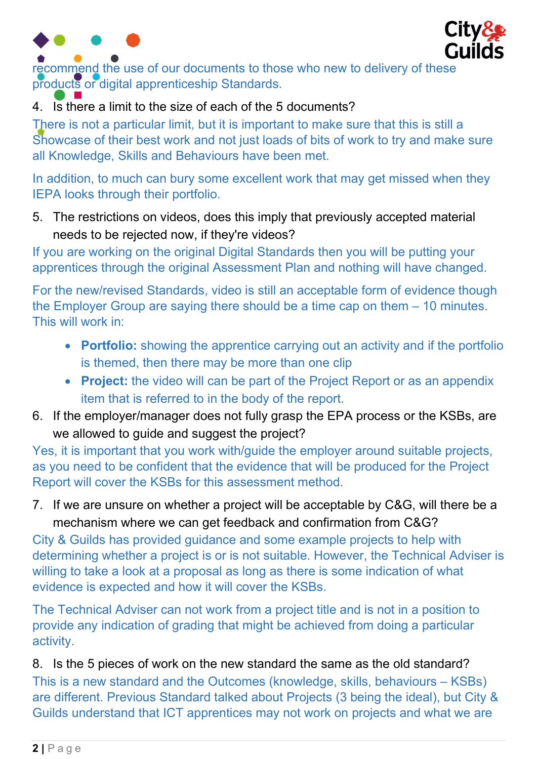



recommend the use of our documents to those who new to delivery of these products or digital apprenticeship Standards.

### 4. Is there a limit to the size of each of the 5 documents?

There is not a particular limit, but it is important to make sure that this is still a Showcase of their best work and not just loads of bits of work to try and make sure all Knowledge, Skills and Behaviours have been met.

In addition, to much can bury some excellent work that may get missed when they IEPA looks through their portfolio.

5. The restrictions on videos, does this imply that previously accepted material needs to be rejected now, if they're videos?

If you are working on the original Digital Standards then you will be putting your apprentices through the original Assessment Plan and nothing will have changed.

For the new/revised Standards, video is still an acceptable form of evidence though the Employer Group are saying there should be a time cap on them – 10 minutes. This will work in:

- Portfolio: showing the apprentice carrying out an activity and if the portfolio is themed, then there may be more than one clip
- Project: the video will can be part of the Project Report or as an appendix item that is referred to in the body of the report.
- 6. If the employer/manager does not fully grasp the EPA process or the KSBs, are we allowed to guide and suggest the project?

Yes, it is important that you work with/guide the employer around suitable projects, as you need to be confident that the evidence that will be produced for the Project Report will cover the KSBs for this assessment method.

7. If we are unsure on whether a project will be acceptable by C&G, will there be a mechanism where we can get feedback and confirmation from C&G?

City & Guilds has provided guidance and some example projects to help with determining whether a project is or is not suitable. However, the Technical Adviser is willing to take a look at a proposal as long as there is some indication of what evidence is expected and how it will cover the KSBs.

The Technical Adviser can not work from a project title and is not in a position to provide any indication of grading that might be achieved from doing a particular activity.

8. Is the 5 pieces of work on the new standard the same as the old standard? This is a new standard and the Outcomes (knowledge, skills, behaviours – KSBs) are different. Previous Standard talked about Projects (3 being the ideal), but City & Guilds understand that ICT apprentices may not work on projects and what we are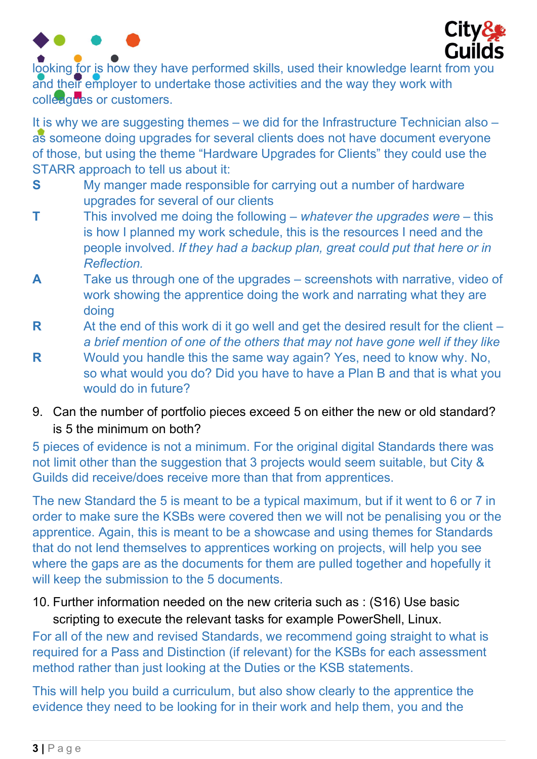

looking for is how they have performed skills, used their knowledge learnt from you and their employer to undertake those activities and the way they work with colleagues or customers.

It is why we are suggesting themes – we did for the Infrastructure Technician also – as someone doing upgrades for several clients does not have document everyone of those, but using the theme "Hardware Upgrades for Clients" they could use the STARR approach to tell us about it:

- S My manger made responsible for carrying out a number of hardware upgrades for several of our clients
- **T** This involved me doing the following whatever the upgrades were this is how I planned my work schedule, this is the resources I need and the people involved. If they had a backup plan, great could put that here or in **Reflection**
- A Take us through one of the upgrades screenshots with narrative, video of work showing the apprentice doing the work and narrating what they are doing
- R At the end of this work di it go well and get the desired result for the client  $$ a brief mention of one of the others that may not have gone well if they like
- R Would you handle this the same way again? Yes, need to know why. No, so what would you do? Did you have to have a Plan B and that is what you would do in future?
- 9. Can the number of portfolio pieces exceed 5 on either the new or old standard? is 5 the minimum on both?

5 pieces of evidence is not a minimum. For the original digital Standards there was not limit other than the suggestion that 3 projects would seem suitable, but City & Guilds did receive/does receive more than that from apprentices.

The new Standard the 5 is meant to be a typical maximum, but if it went to 6 or 7 in order to make sure the KSBs were covered then we will not be penalising you or the apprentice. Again, this is meant to be a showcase and using themes for Standards that do not lend themselves to apprentices working on projects, will help you see where the gaps are as the documents for them are pulled together and hopefully it will keep the submission to the 5 documents.

### 10. Further information needed on the new criteria such as : (S16) Use basic scripting to execute the relevant tasks for example PowerShell, Linux.

For all of the new and revised Standards, we recommend going straight to what is required for a Pass and Distinction (if relevant) for the KSBs for each assessment method rather than just looking at the Duties or the KSB statements.

This will help you build a curriculum, but also show clearly to the apprentice the evidence they need to be looking for in their work and help them, you and the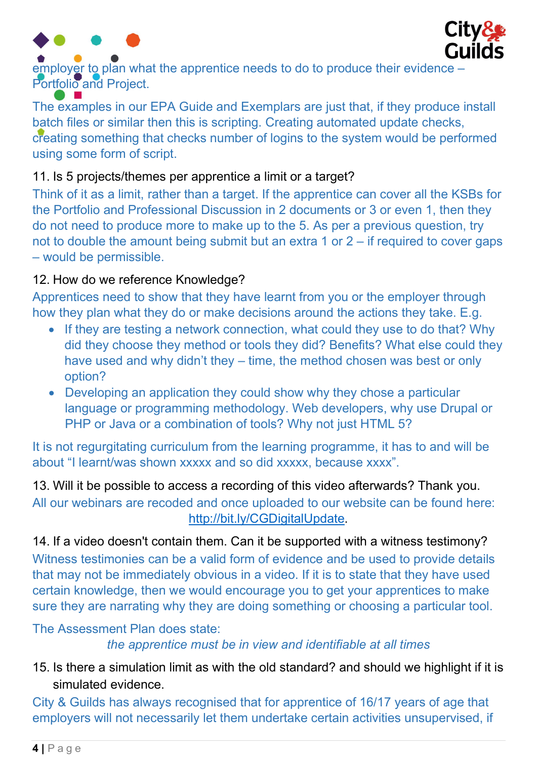



employer to plan what the apprentice needs to do to produce their evidence Portfolio and Project.

The examples in our EPA Guide and Exemplars are just that, if they produce install batch files or similar then this is scripting. Creating automated update checks, creating something that checks number of logins to the system would be performed using some form of script.

#### 11. Is 5 projects/themes per apprentice a limit or a target?

Think of it as a limit, rather than a target. If the apprentice can cover all the KSBs for the Portfolio and Professional Discussion in 2 documents or 3 or even 1, then they do not need to produce more to make up to the 5. As per a previous question, try not to double the amount being submit but an extra 1 or  $2 -$  if required to cover gaps – would be permissible.

#### 12. How do we reference Knowledge?

Apprentices need to show that they have learnt from you or the employer through how they plan what they do or make decisions around the actions they take. E.g.

- If they are testing a network connection, what could they use to do that? Why did they choose they method or tools they did? Benefits? What else could they have used and why didn't they – time, the method chosen was best or only option?
- Developing an application they could show why they chose a particular language or programming methodology. Web developers, why use Drupal or PHP or Java or a combination of tools? Why not just HTML 5?

It is not regurgitating curriculum from the learning programme, it has to and will be about "I learnt/was shown xxxxx and so did xxxxx, because xxxx".

13. Will it be possible to access a recording of this video afterwards? Thank you.

All our webinars are recoded and once uploaded to our website can be found here: http://bit.ly/CGDigitalUpdate.

14. If a video doesn't contain them. Can it be supported with a witness testimony? Witness testimonies can be a valid form of evidence and be used to provide details that may not be immediately obvious in a video. If it is to state that they have used certain knowledge, then we would encourage you to get your apprentices to make sure they are narrating why they are doing something or choosing a particular tool.

#### The Assessment Plan does state:

the apprentice must be in view and identifiable at all times

15. Is there a simulation limit as with the old standard? and should we highlight if it is simulated evidence.

City & Guilds has always recognised that for apprentice of 16/17 years of age that employers will not necessarily let them undertake certain activities unsupervised, if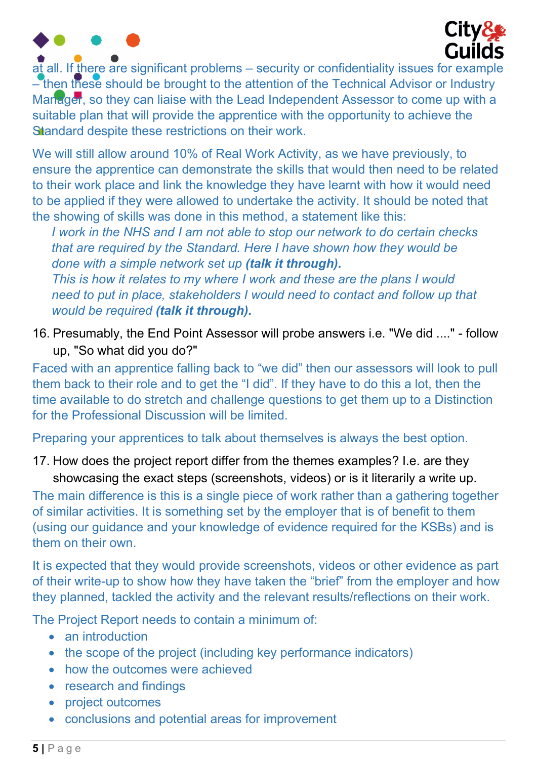

 $a\overline{t}$  all. If there are significant problems – security or confidentiality issues for example – then these should be brought to the attention of the Technical Advisor or Industry Manager, so they can liaise with the Lead Independent Assessor to come up with a suitable plan that will provide the apprentice with the opportunity to achieve the Standard despite these restrictions on their work.

We will still allow around 10% of Real Work Activity, as we have previously, to ensure the apprentice can demonstrate the skills that would then need to be related to their work place and link the knowledge they have learnt with how it would need to be applied if they were allowed to undertake the activity. It should be noted that the showing of skills was done in this method, a statement like this:

I work in the NHS and I am not able to stop our network to do certain checks that are required by the Standard. Here I have shown how they would be done with a simple network set up (talk it through).

This is how it relates to my where I work and these are the plans I would need to put in place, stakeholders I would need to contact and follow up that would be required (talk it through).

16. Presumably, the End Point Assessor will probe answers i.e. "We did ...." - follow up, "So what did you do?"

Faced with an apprentice falling back to "we did" then our assessors will look to pull them back to their role and to get the "I did". If they have to do this a lot, then the time available to do stretch and challenge questions to get them up to a Distinction for the Professional Discussion will be limited.

Preparing your apprentices to talk about themselves is always the best option.

17. How does the project report differ from the themes examples? I.e. are they showcasing the exact steps (screenshots, videos) or is it literarily a write up.

The main difference is this is a single piece of work rather than a gathering together of similar activities. It is something set by the employer that is of benefit to them (using our guidance and your knowledge of evidence required for the KSBs) and is them on their own.

It is expected that they would provide screenshots, videos or other evidence as part of their write-up to show how they have taken the "brief" from the employer and how they planned, tackled the activity and the relevant results/reflections on their work.

The Project Report needs to contain a minimum of:

- an introduction
- the scope of the project (including key performance indicators)
- how the outcomes were achieved
- research and findings
- project outcomes
- conclusions and potential areas for improvement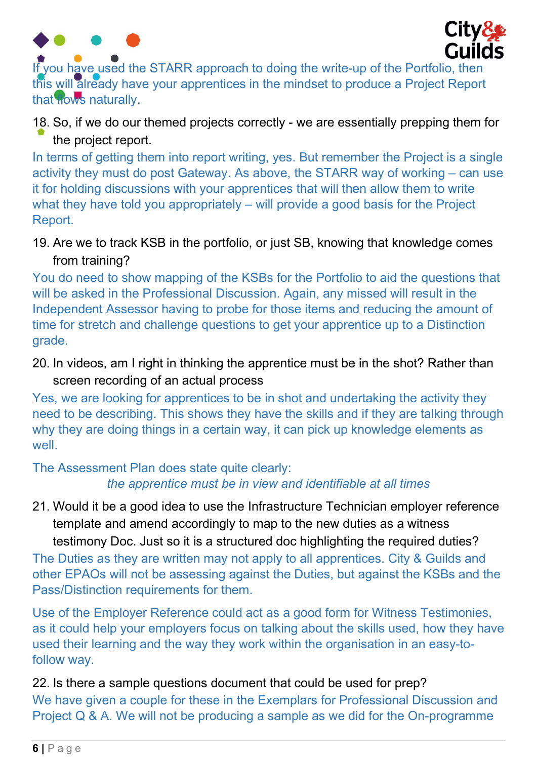



If you have used the STARR approach to doing the write-up of the Portfolio, then this will already have your apprentices in the mindset to produce a Project Report that **Hows** naturally.

18. So, if we do our themed projects correctly - we are essentially prepping them for the project report.

In terms of getting them into report writing, yes. But remember the Project is a single activity they must do post Gateway. As above, the STARR way of working – can use it for holding discussions with your apprentices that will then allow them to write what they have told you appropriately – will provide a good basis for the Project Report.

19. Are we to track KSB in the portfolio, or just SB, knowing that knowledge comes from training?

You do need to show mapping of the KSBs for the Portfolio to aid the questions that will be asked in the Professional Discussion. Again, any missed will result in the Independent Assessor having to probe for those items and reducing the amount of time for stretch and challenge questions to get your apprentice up to a Distinction grade.

20. In videos, am I right in thinking the apprentice must be in the shot? Rather than screen recording of an actual process

Yes, we are looking for apprentices to be in shot and undertaking the activity they need to be describing. This shows they have the skills and if they are talking through why they are doing things in a certain way, it can pick up knowledge elements as well.

The Assessment Plan does state quite clearly: the apprentice must be in view and identifiable at all times

21. Would it be a good idea to use the Infrastructure Technician employer reference template and amend accordingly to map to the new duties as a witness testimony Doc. Just so it is a structured doc highlighting the required duties?

The Duties as they are written may not apply to all apprentices. City & Guilds and other EPAOs will not be assessing against the Duties, but against the KSBs and the Pass/Distinction requirements for them.

Use of the Employer Reference could act as a good form for Witness Testimonies, as it could help your employers focus on talking about the skills used, how they have used their learning and the way they work within the organisation in an easy-tofollow way.

22. Is there a sample questions document that could be used for prep? We have given a couple for these in the Exemplars for Professional Discussion and Project Q & A. We will not be producing a sample as we did for the On-programme